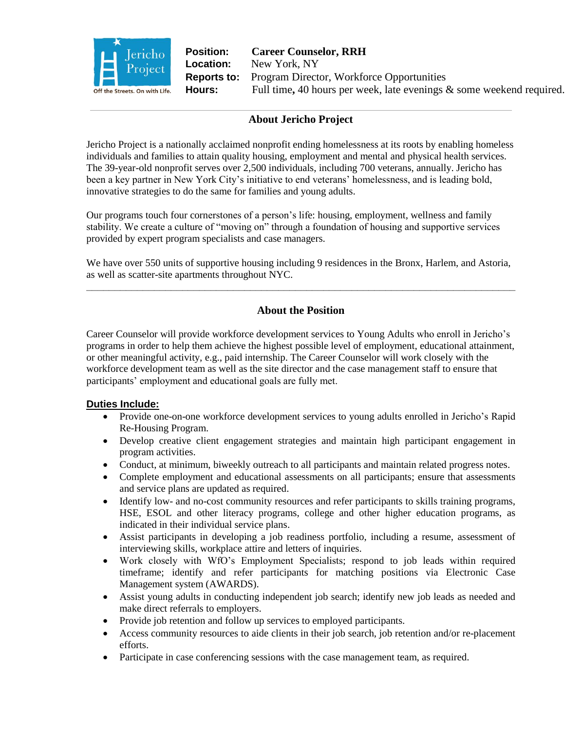

**Position: Career Counselor, RRH Location:** New York, NY **Reports to:** Program Director, Workforce Opportunities **Hours:** Full time**,** 40 hours per week, late evenings & some weekend required.

## **About Jericho Project**

Jericho Project is a nationally acclaimed nonprofit ending homelessness at its roots by enabling homeless individuals and families to attain quality housing, employment and mental and physical health services. The 39-year-old nonprofit serves over 2,500 individuals, including 700 veterans, annually. Jericho has been a key partner in New York City's initiative to end veterans' homelessness, and is leading bold, innovative strategies to do the same for families and young adults.

Our programs touch four cornerstones of a person's life: housing, employment, wellness and family stability. We create a culture of "moving on" through a foundation of housing and supportive services provided by expert program specialists and case managers.

We have over 550 units of supportive housing including 9 residences in the Bronx, Harlem, and Astoria, as well as scatter-site apartments throughout NYC. **\_\_\_\_\_\_\_\_\_\_\_\_\_\_\_\_\_\_\_\_\_\_\_\_\_\_\_\_\_\_\_\_\_\_\_\_\_\_\_\_\_\_\_\_\_\_\_\_\_\_\_\_\_\_\_\_\_\_\_\_\_\_\_\_\_\_\_\_\_\_\_\_\_\_\_\_**

# **About the Position**

Career Counselor will provide workforce development services to Young Adults who enroll in Jericho's programs in order to help them achieve the highest possible level of employment, educational attainment, or other meaningful activity, e.g., paid internship. The Career Counselor will work closely with the workforce development team as well as the site director and the case management staff to ensure that participants' employment and educational goals are fully met.

## **Duties Include:**

- Provide one-on-one workforce development services to young adults enrolled in Jericho's Rapid Re-Housing Program.
- Develop creative client engagement strategies and maintain high participant engagement in program activities.
- Conduct, at minimum, biweekly outreach to all participants and maintain related progress notes.
- Complete employment and educational assessments on all participants; ensure that assessments and service plans are updated as required.
- Identify low- and no-cost community resources and refer participants to skills training programs, HSE, ESOL and other literacy programs, college and other higher education programs, as indicated in their individual service plans.
- Assist participants in developing a job readiness portfolio, including a resume, assessment of interviewing skills, workplace attire and letters of inquiries.
- Work closely with WfO's Employment Specialists; respond to job leads within required timeframe; identify and refer participants for matching positions via Electronic Case Management system (AWARDS).
- Assist young adults in conducting independent job search; identify new job leads as needed and make direct referrals to employers.
- Provide job retention and follow up services to employed participants.
- Access community resources to aide clients in their job search, job retention and/or re-placement efforts.
- Participate in case conferencing sessions with the case management team, as required.